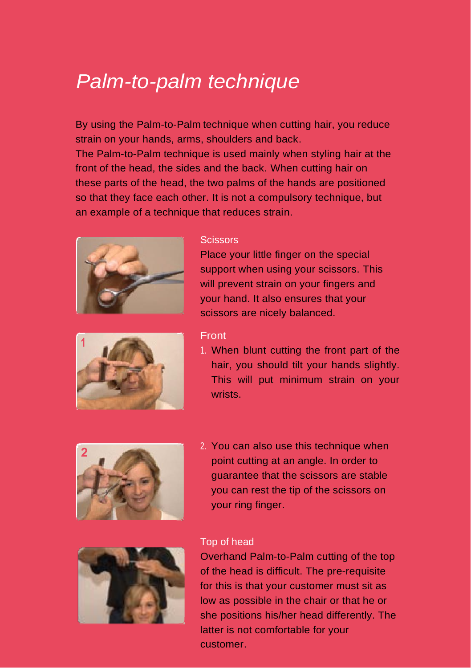# *Palm-to-palm technique*

By using the Palm-to-Palm technique when cutting hair, you reduce strain on your hands, arms, shoulders and back. The Palm-to-Palm technique is used mainly when styling hair at the front of the head, the sides and the back. When cutting hair on these parts of the head, the two palms of the hands are positioned so that they face each other. It is not a compulsory technique, but an example of a technique that reduces strain.



#### **Scissors**

Place your little finger on the special support when using your scissors. This will prevent strain on your fingers and your hand. It also ensures that your scissors are nicely balanced.





1. When blunt cutting the front part of the hair, you should tilt your hands slightly. This will put minimum strain on your wrists.



2. You can also use this technique when point cutting at an angle. In order to guarantee that the scissors are stable you can rest the tip of the scissors on your ring finger.



### Top of head 1

Overhand Palm-to-Palm cutting of the top of the head is difficult. The pre-requisite for this is that your customer must sit as low as possible in the chair or that he or she positions his/her head differently. The latter is not comfortable for your customer.